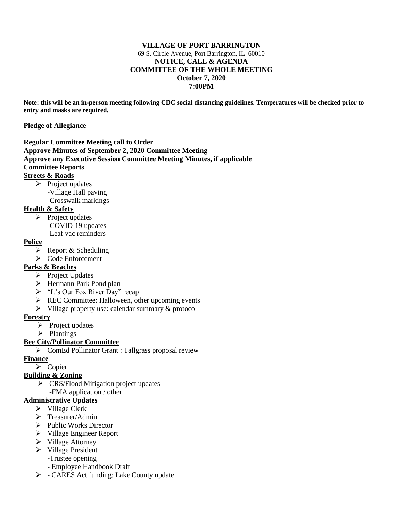### **VILLAGE OF PORT BARRINGTON** 69 S. Circle Avenue, Port Barrington, IL 60010 **NOTICE, CALL & AGENDA COMMITTEE OF THE WHOLE MEETING October 7, 2020 7:00PM**

**Note: this will be an in-person meeting following CDC social distancing guidelines. Temperatures will be checked prior to entry and masks are required.**

#### **Pledge of Allegiance**

#### **Regular Committee Meeting call to Order**

**Approve Minutes of September 2, 2020 Committee Meeting Approve any Executive Session Committee Meeting Minutes, if applicable** 

#### **Committee Reports**

## **Streets & Roads**

➢ Project updates -Village Hall paving -Crosswalk markings

## **Health & Safety**

➢ Project updates -COVID-19 updates -Leaf vac reminders

# **Police**

- $\triangleright$  Report & Scheduling
- ➢ Code Enforcement

# **Parks & Beaches**

- ➢ Project Updates
- ➢ Hermann Park Pond plan
- ➢ "It's Our Fox River Day" recap
- ➢ REC Committee: Halloween, other upcoming events
- ➢ Village property use: calendar summary & protocol

### **Forestry**

- ➢ Project updates
- ➢ Plantings

### **Bee City/Pollinator Committee**

➢ ComEd Pollinator Grant : Tallgrass proposal review

### **Finance**

# ➢ Copier

# **Building & Zoning**

➢ CRS/Flood Mitigation project updates -FMA application / other

### **Administrative Updates**

- ➢ Village Clerk
- ➢ Treasurer/Admin
- ➢ Public Works Director
- ➢ Village Engineer Report
- ➢ Village Attorney
- ➢ Village President
	- -Trustee opening
	- Employee Handbook Draft
- ➢ CARES Act funding: Lake County update